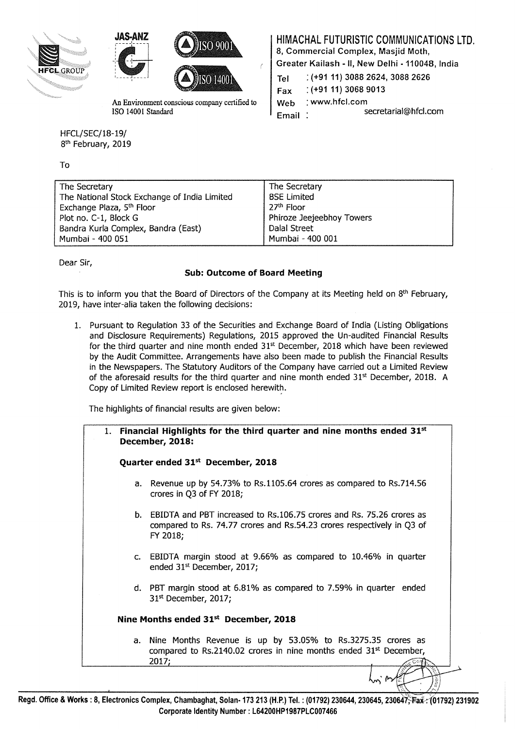





An Environment conscious company certified to ISO 14001 Standard

HFCL/SEC/18-19/ 8<sup>th</sup> February, 2019

To

HIMACHAL FUTURISTIC COMMUNICATIONS LTD.

8, Commercial Complex, Masjid Moth,

Greater Kailash -II, New Delhi -110048, India

| Tel.      | $( +91 11) 3088 2624, 3088 2626$ |
|-----------|----------------------------------|
| Fax       | $( +91 11) 3068 9013$            |
| Web       | $:$ www.hfcl.com                 |
| $Email$ : | secretarial@hfcl.com             |

| The Secretary             |
|---------------------------|
| <b>BSE Limited</b>        |
| 27 <sup>th</sup> Floor    |
| Phiroze Jeejeebhoy Towers |
| Dalal Street              |
| Mumbai - 400 001          |
|                           |

Dear Sir,

# Sub: Outcome of Board Meeting

This is to inform you that the Board of Directors of the Company at its Meeting held on 8<sup>th</sup> February, 2019, have inter-alia taken the following decisions:

1. Pursuant to Regulation 33 of the Securities and Exchange Board of India (Listing Obligations and Disclosure Requirements) Regulations, 2015 approved the Un-audited Financial Results for the third quarter and nine month ended  $31<sup>st</sup>$  December, 2018 which have been reviewed by the Audit Committee. Arrangements have also been made to publish the Financial Results in the Newspapers. The Statutory Auditors of the Company have carried out a Limited Review of the aforesaid results for the third quarter and nine month ended  $31<sup>st</sup>$  December, 2018. A Copy of Limited Review report is enclosed herewith.

The highlights of financial results are given below:

| 1. Financial Highlights for the third quarter and nine months ended $31st$<br>December, 2018:                                                                 |
|---------------------------------------------------------------------------------------------------------------------------------------------------------------|
| Quarter ended 31 <sup>st</sup> December, 2018                                                                                                                 |
| a. Revenue up by 54.73% to Rs.1105.64 crores as compared to Rs.714.56<br>crores in Q3 of FY 2018;                                                             |
| b. EBIDTA and PBT increased to Rs.106.75 crores and Rs. 75.26 crores as<br>compared to Rs. 74.77 crores and Rs.54.23 crores respectively in Q3 of<br>FY 2018; |
| c. EBIDTA margin stood at 9.66% as compared to 10.46% in quarter<br>ended 31 <sup>st</sup> December, 2017;                                                    |
| d. PBT margin stood at 6.81% as compared to 7.59% in quarter ended<br>31 <sup>st</sup> December, 2017;                                                        |
| Nine Months ended $31st$ December, 2018                                                                                                                       |
| a. Nine Months Revenue is up by 53.05% to Rs.3275.35 crores as<br>compared to Rs.2140.02 crores in nine months ended 31 <sup>st</sup> December,<br>2017;      |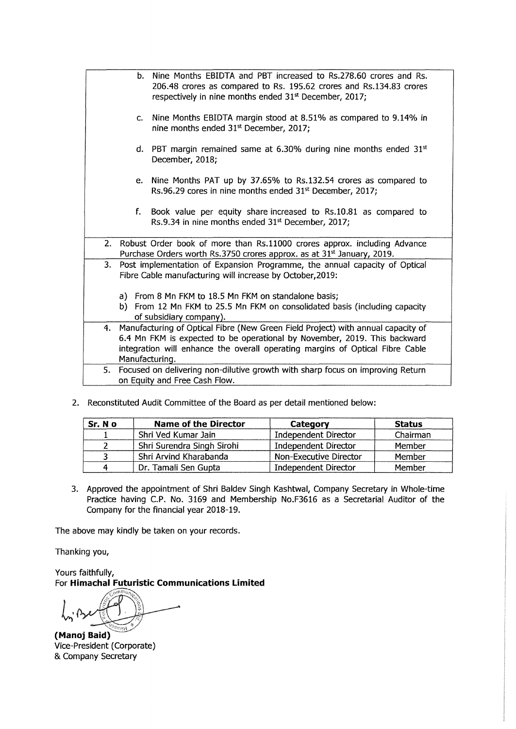|  |                                                                                                                                               | b. Nine Months EBIDTA and PBT increased to Rs.278.60 crores and Rs.<br>206.48 crores as compared to Rs. 195.62 crores and Rs.134.83 crores<br>respectively in nine months ended 31 <sup>st</sup> December, 2017; |  |  |  |  |
|--|-----------------------------------------------------------------------------------------------------------------------------------------------|------------------------------------------------------------------------------------------------------------------------------------------------------------------------------------------------------------------|--|--|--|--|
|  | $\mathsf{C}$ .                                                                                                                                | Nine Months EBIDTA margin stood at 8.51% as compared to 9.14% in<br>nine months ended 31 <sup>st</sup> December, 2017;                                                                                           |  |  |  |  |
|  |                                                                                                                                               | d. PBT margin remained same at 6.30% during nine months ended $31st$<br>December, 2018;                                                                                                                          |  |  |  |  |
|  |                                                                                                                                               | e. Nine Months PAT up by 37.65% to Rs.132.54 crores as compared to<br>Rs.96.29 cores in nine months ended 31 <sup>st</sup> December, 2017;                                                                       |  |  |  |  |
|  |                                                                                                                                               | f. Book value per equity share increased to Rs.10.81 as compared to<br>Rs.9.34 in nine months ended 31 <sup>st</sup> December, 2017;                                                                             |  |  |  |  |
|  |                                                                                                                                               | 2. Robust Order book of more than Rs.11000 crores approx. including Advance<br>Purchase Orders worth Rs.3750 crores approx. as at 31 <sup>st</sup> January, 2019.                                                |  |  |  |  |
|  | Post implementation of Expansion Programme, the annual capacity of Optical<br>3.<br>Fibre Cable manufacturing will increase by October, 2019: |                                                                                                                                                                                                                  |  |  |  |  |
|  | a) From 8 Mn FKM to 18.5 Mn FKM on standalone basis;                                                                                          |                                                                                                                                                                                                                  |  |  |  |  |
|  | b) From 12 Mn FKM to 25.5 Mn FKM on consolidated basis (including capacity                                                                    |                                                                                                                                                                                                                  |  |  |  |  |
|  |                                                                                                                                               | of subsidiary company).                                                                                                                                                                                          |  |  |  |  |
|  | 4. Manufacturing of Optical Fibre (New Green Field Project) with annual capacity of                                                           |                                                                                                                                                                                                                  |  |  |  |  |
|  |                                                                                                                                               | 6.4 Mn FKM is expected to be operational by November, 2019. This backward                                                                                                                                        |  |  |  |  |
|  |                                                                                                                                               | integration will enhance the overall operating margins of Optical Fibre Cable                                                                                                                                    |  |  |  |  |
|  |                                                                                                                                               | Manufacturing.                                                                                                                                                                                                   |  |  |  |  |
|  |                                                                                                                                               | 5. Focused on delivering non-dilutive growth with sharp focus on improving Return                                                                                                                                |  |  |  |  |
|  |                                                                                                                                               | on Equity and Free Cash Flow.                                                                                                                                                                                    |  |  |  |  |

2. Reconstituted Audit Committee of the Board as per detail mentioned below:

| Sr. No | <b>Name of the Director</b> | Category                    | <b>Status</b> |
|--------|-----------------------------|-----------------------------|---------------|
|        | Shri Ved Kumar Jain         | Independent Director        | Chairman      |
|        | Shri Surendra Singh Sirohi  | <b>Independent Director</b> | Member        |
|        | Shri Arvind Kharabanda      | Non-Executive Director      | Member        |
|        | Dr. Tamali Sen Gupta        | Independent Director        | Member        |

3. Approved the appointment of Shri Baldev Singh Kashtwal, Company Secretary in Whole-time Practice having C.P. No. 3169 and Membership No.F3616 as a Secretarial Auditor of the Company for the financial year 2018-19.

The above may kindly be taken on your records.

Thanking you,

Yours faithfully, For **Himachal Futuristic Communications Limited** 

(Manoj Baid) Vice-President (Corporate) & Company Secretary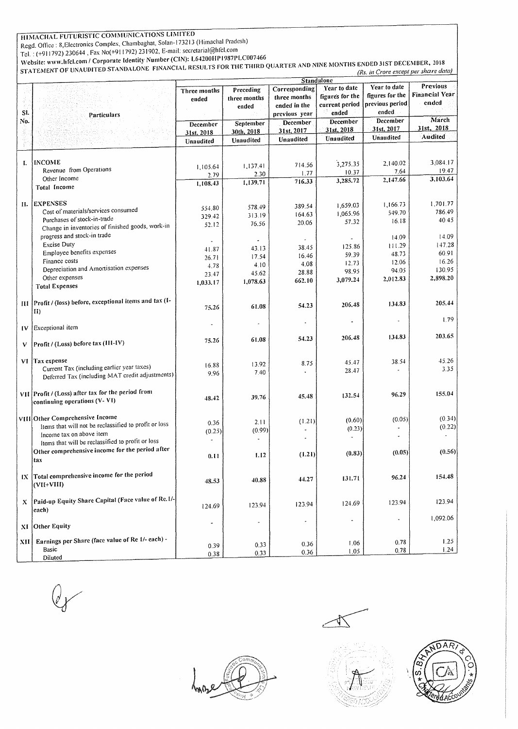# HIMACHAL FUTURISTIC COMMUNICATIONS LIMITED

Regd. Otlice: 8,Eiectronics Complex, Chambaghat, Solan-173213 (Himachal Pradesh)

TeL : (+911792) 230644, Fax No(+911792) 231902, E-mail: secretarial@hfcl.com

Website: www.hfcl.com / Corporate Identity Number (CIN): L64200HP1987PLC007466

STATEMENT OF UNAUDITED STANDALONE FINANCIAL RESULTS FOR THE THIRD QUARTER AND NINE MONTHS ENDED JIST DECEMBER, 2018 *(Rs. in Crore except per share data)* 

|     |                                                       | <b>Standalone</b>    |              |                          |                          |                 |                       |
|-----|-------------------------------------------------------|----------------------|--------------|--------------------------|--------------------------|-----------------|-----------------------|
|     |                                                       | Three months         | Preceding    | Corresponding            | Year to date             | Year to date    | Previous              |
|     |                                                       | ended                | three months | three months             | figures for the          | figures for the | <b>Financial Year</b> |
|     |                                                       |                      | ended        | ended in the             | current period           | previous period | ended                 |
| SI. | Particulars                                           |                      |              | previous year            | ended                    | ended           |                       |
| No. |                                                       |                      | September    | <b>December</b>          | <b>December</b>          | December        | March                 |
|     |                                                       | December             | 30th, 2018   | 31st, 2017               | 31st, 2018               | 31st, 2017      | 31st, 2018            |
|     |                                                       | 31st, 2018           |              | Unaudited                | Unaudited                | Unaudited       | <b>Audited</b>        |
|     |                                                       | Unaudited            | Unaudited    |                          |                          |                 |                       |
|     |                                                       |                      |              |                          |                          |                 |                       |
| I.  | <b>INCOME</b>                                         |                      |              |                          | 3,275.35                 | 2,140.02        | 3,084.17              |
|     | Revenue from Operations                               | 1,105.64             | 1,137.41     | 714.56                   |                          | 7.64            | 19.47                 |
|     | Other Income                                          | 2.79                 | 2.30         | 1.77                     | 10.37                    | 2,147.66        | 3,103.64              |
|     | <b>Total Income</b>                                   | 1,108.43             | 1,139.71     | 716.33                   | 3,285.72                 |                 |                       |
|     |                                                       |                      |              |                          |                          |                 |                       |
| П.  | <b>EXPENSES</b>                                       |                      |              |                          | 1.659.03                 | 1,166.73        | 1.701.77              |
|     | Cost of materials/services consumed                   | 554.80               | 578.49       | 389.54                   |                          | 549.70          | 786.49                |
|     | Purchases of stock-in-trade                           | 329.42               | 313.19       | 164.63                   | 1,065.96                 | 16.18           | 40.45                 |
|     | Change in inventories of finished goods, work-in      | 52.12                | 76.56        | 20.06                    | 57.32                    |                 |                       |
|     | progress and stock-in trade                           |                      |              |                          |                          | 14.09           | 14.09                 |
|     | <b>Excise Duty</b>                                    |                      |              |                          |                          | 111.29          | 147.28                |
|     | Employee benefits expenses                            | 41.87                | 43.13        | 38.45                    | 125.86                   |                 | 60.91                 |
|     | Finance costs                                         | 26.71                | 17.54        | 16.46                    | 59.39                    | 48.73           | 16.26                 |
|     | Depreciation and Amortisation expenses                | 4.78                 | 4.10         | 4.08                     | 12.73                    | 12.06           | 130.95                |
|     | Other expenses                                        | 23.47                | 45.62        | 28.88                    | 98.95                    | 94.05           | 2,898.20              |
|     |                                                       | 1,033.17             | 1.078.63     | 662.10                   | 3,079.24                 | 2,012.83        |                       |
|     | <b>Total Expenses</b>                                 |                      |              |                          |                          |                 |                       |
|     | Profit / (loss) before, exceptional items and tax (I- |                      |              |                          |                          |                 | 205.44                |
| ш   |                                                       | 75.26                | 61.08        | 54.23                    | 206.48                   | 134.83          |                       |
|     | II)                                                   |                      |              |                          |                          |                 | 1.79                  |
| IV  | Exceptional item                                      |                      |              |                          |                          |                 |                       |
|     |                                                       |                      |              |                          |                          | 134.83          | 203.65                |
| V   | Profit / (Loss) before tax (III-IV)                   | 75.26                | 61.08        | 54.23                    | 206.48                   |                 |                       |
|     |                                                       |                      |              |                          |                          |                 |                       |
|     | VI Tax expense                                        |                      |              | 8.75                     | 45.47                    | 38.54           | 45.26                 |
|     | Current Tax (including earlier year taxes)            | 16.88                | 13.92        |                          | 28.47                    |                 | 3.35                  |
|     | Deferred Tax (including MAT credit adjustments)       | 9.96                 | 7.40         |                          |                          |                 |                       |
|     |                                                       |                      |              |                          |                          |                 |                       |
|     | VII Profit / (Loss) after tax for the period from     |                      |              | 45.48                    | 132.54                   | 96.29           | 155.04                |
|     | continuing operations (V-VI)                          | 48.42                | 39.76        |                          |                          |                 |                       |
|     |                                                       |                      |              |                          |                          |                 |                       |
|     | VIII Other Comprehensive Income                       |                      |              | (1.21)                   | (0.60)                   | (0.05)          | (0.34)                |
|     | Items that will not be reclassified to profit or loss | 0.36                 | 2.11         |                          | (0.23)                   |                 | (0.22)                |
|     | Income tax on above item                              | (0.25)               | (0.99)       |                          |                          |                 |                       |
|     | Items that will be reclassified to profit or loss     |                      |              |                          |                          |                 |                       |
|     | Other comprehensive income for the period after       |                      |              |                          | (0.83)                   | (0.05)          | (0.56)                |
|     | tax                                                   | 0.11                 | 1.12         | (1.21)                   |                          |                 |                       |
|     |                                                       |                      |              |                          |                          |                 |                       |
|     | IX Total comprehensive income for the period          |                      |              |                          | 131.71                   | 96.24           | 154.48                |
|     | $(VII+VIII)$                                          | 48.53                | 40.88        | 44.27                    |                          |                 |                       |
|     |                                                       |                      |              |                          |                          |                 |                       |
| X   | Paid-up Equity Share Capital (Face value of Re.1/-    |                      |              | 123.94                   | 124.69                   | 123.94          | 123.94                |
|     | each)                                                 | 124.69               | 123.94       |                          |                          |                 |                       |
|     |                                                       |                      |              | $\overline{\phantom{a}}$ | $\overline{\phantom{a}}$ |                 | 1,092.06              |
| ХI  | <b>Other Equity</b>                                   | $\ddot{\phantom{0}}$ | ٠            |                          |                          |                 |                       |
|     |                                                       |                      |              |                          |                          |                 |                       |
| XII | Earnings per Share (face value of Re 1/- each) -      | 0.39                 | 0.33         | 0.36                     | 1.06                     | 0.78            | 1.25                  |
|     | Basic                                                 | 0.38                 | 0.33         | 0.36                     | 1.05                     | 0.78            | 1.24                  |
|     | Diluted                                               |                      |              |                          |                          |                 |                       |





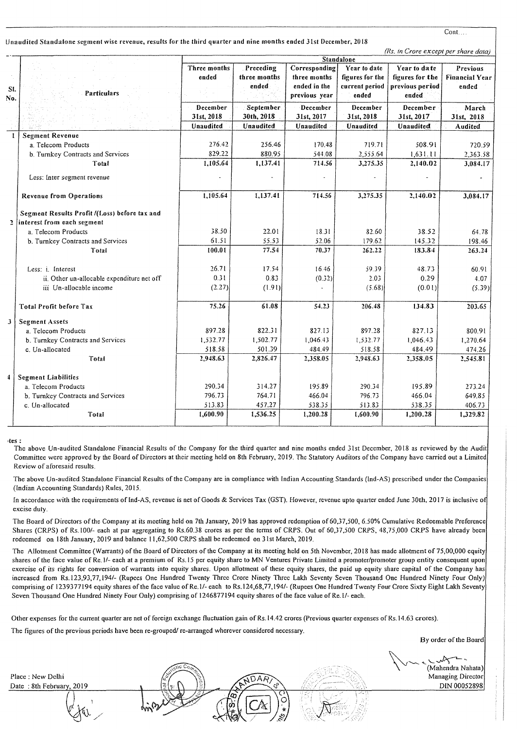#### Unaudited Standalone segment wise revenue, results for the third quarter and nine months ended Jist December, 2018

*(Rs. in Crore except per share data)* 

| Standalone   |                                                                             |                         |                                    |                                                                | $ms.$ In Crore except per share than                       |                                                              |                                            |
|--------------|-----------------------------------------------------------------------------|-------------------------|------------------------------------|----------------------------------------------------------------|------------------------------------------------------------|--------------------------------------------------------------|--------------------------------------------|
| SI.<br>No.   | Particulars                                                                 | Three months<br>ended   | Preceding<br>three months<br>ended | Corresponding<br>three months<br>ended in the<br>previous year | Year to date<br>figures for the<br>current period<br>ended | Year to da te<br>figures for the<br>previous period<br>ended | Previous<br><b>Financial Year</b><br>ended |
|              |                                                                             | December                | September                          | December                                                       | December                                                   | December                                                     | March                                      |
|              |                                                                             | 31st, 2018<br>Unaudited | 30th, 2018<br>Unaudited            | 31st, 2017<br>Unaudited                                        | 31st, 2018<br>Unaudited                                    | 31st, 2017                                                   | 31st, 2018                                 |
| $\mathbf{1}$ | <b>Segment Revenue</b>                                                      |                         |                                    |                                                                |                                                            | Unaudited                                                    | Audited                                    |
|              | a. Telecom Products                                                         | 276.42                  | 256.46                             | 170.48                                                         | 719.71                                                     | 508.91                                                       | 720.59                                     |
|              | b. Turnkey Contracts and Services                                           | 829.22                  | 880.95                             | 544.08                                                         | 2,555.64                                                   | 1,631.11                                                     | 2,363.58                                   |
|              | Total                                                                       | 1,105.64                | 1,137.41                           | 714.56                                                         | 3,275.35                                                   | 2,140.02                                                     | 3,084.17                                   |
|              |                                                                             |                         |                                    |                                                                |                                                            |                                                              |                                            |
|              | Less: Inter segment revenue                                                 |                         |                                    |                                                                |                                                            |                                                              |                                            |
|              | <b>Revenue from Operations</b>                                              | 1.105.64                | 1,137.41                           | 714.56                                                         | 3,275.35                                                   | 2,140.02                                                     | 3,084.17                                   |
| 2            | Segment Results Profit /(Loss) before tax and<br>interest from each segment |                         |                                    |                                                                |                                                            |                                                              |                                            |
|              | a. Telecom Products                                                         | 38.50                   | 22.01                              | 18.31                                                          | 82.60                                                      | 38.52                                                        | 64.78                                      |
|              | b. Turnkey Contracts and Services                                           | 61.51                   | 55.53                              | 52.06                                                          | 179.62                                                     | 145.32                                                       | 198.46                                     |
|              | Total                                                                       | 100.01                  | 77.54                              | 70.37                                                          | 262.22                                                     | 183.84                                                       | 263.24                                     |
|              |                                                                             |                         |                                    |                                                                |                                                            |                                                              |                                            |
|              | Less: <i>i</i> . Interest                                                   | 26.71                   | 17.54                              | 16.46                                                          | 59.39                                                      | 48.73                                                        | 60.91                                      |
|              | ii. Other un-allocable expenditure net off                                  | 0.31                    | 0.83                               | (0.32)                                                         | 2.03                                                       | 0.29                                                         | 4.07                                       |
|              | iii Un-allocable income                                                     | (2.27)                  | (1.91)                             |                                                                | (5.68)                                                     | (0.01)                                                       | (5.39)                                     |
|              | Total Profit before Tax                                                     | 75.26                   | 61.08                              | 54.23                                                          | 206.48                                                     | 134.83                                                       | 203.65                                     |
| 3            | <b>Segment Assets</b>                                                       |                         |                                    |                                                                |                                                            |                                                              |                                            |
|              | a. Telecom Products                                                         | 897.28                  | 822.31                             | 827.13                                                         | 897.28                                                     | 827.13                                                       | 800.91                                     |
|              | b. Turnkey Contracts and Services                                           | 1,532.77                | 1,502.77                           | 1.046.43                                                       | 1,532.77                                                   | 1,046.43                                                     | 1,270.64                                   |
|              | c. Un-allocated                                                             | 518.58                  | 501.39                             | 484.49                                                         | 518.58                                                     | 484.49                                                       | 474.26                                     |
|              | Total                                                                       | 2,948.63                | 2,826.47                           | 2,358.05                                                       | 2,948.63                                                   | 2,358.05                                                     | 2,545.81                                   |
| $\ddagger$   | <b>Segment Liabilities</b>                                                  |                         |                                    |                                                                |                                                            |                                                              |                                            |
|              | a. Telecom Products                                                         | 290.34                  | 314.27                             | 195.89                                                         | 290.34                                                     | 195.89                                                       | 273.24                                     |
|              | b. Turnkey Contracts and Services                                           | 796.73                  | 764.71                             | 466.04                                                         | 796.73                                                     | 466.04                                                       | 649.85                                     |
|              | c. Un-allocated                                                             | 513.83                  | 457.27                             | 538.35                                                         | 513.83                                                     | 538.35                                                       | 406.73                                     |
|              | Total                                                                       | 1,600.90                | 1,536.25                           | 1,200.28                                                       | 1,600.90                                                   | 1,200.28                                                     | 1,329.82                                   |

1tes:

The above Un-audited Standalone Financial Results of the Company for the third quarter and nine months ended 31st December, 2018 as reviewed by the Audit Committee were approved by the Board of Directors at their meeting held on 8th February, 2019. The Statutory Auditors of the Company have carried out a Limited Review of aforesaid results.

The above Un-audited Standalone Financial Results of the Company are in compliance with Indian Accounting Standards (lnd·AS) prescribed under the Companies (Indian Accounting Standards) Rules, 2015.

In accordance with the requirements of Ind-AS, revenue is net of Goods & Services Tax (GST). However, revenue upto quarter ended June 30th, 2017 is inclusive of excise duty.

The Board of Directors of the Company at its meeting held on 7th January, 2019 has approved redemption of 60,37,500, 6.50% Cumulative Redeemable Preference Shares (CRPS) of Rs.100/- each at par aggregating to Rs.60.38 crores as per the terms of CRPS. Out of 60,37,500 CRPS, 48,75,000 CRPS have already been redeemed on 18th January, 2019 and balance II ,62,500 CRPS shall be redeemed on 31st March, 2019.

The Allotment Committee (Warrants) of the Board of Directors of the Company at its meeting held on 5th November, 2018 has made allotment of 75,00,000 equity shares of the face value of Re.I/- each at a premium of Rs.l5 per equity share to MN Ventures Private Limited a promoter/promoter group entity consequent upon exercise of its rights for conversion of warrants into equity shares. Upon allotment of these equity shares, the paid up equity share capital of the Company has increased from Rs.l23,93, 77, 194/- (Rupees One Hundred Twenty Three Crore Ninety Three Lakh Seventy Seven Thousand One Hundred Ninety Four Only) comprising of 1239377194 equity shares of the face value of Re.l/- each to Rs.l24,68,77,194/- (Rupees One Hundred Twenty Four Crore Sixty Eight Lakh Seventy Seven Thousand One Hundred Ninety Four Only) comprising of 1246877194 equity shares of the face value of Re.l/- each.

Other expenses for the current quarter are net of foreign exchange fluctuation gain of Rs. 14.42 crores (Previous quarter expenses of Rs. 14.63 crores).

The figures of the previous periods have been re-grouped/ re-arranged wherever considered necessary.

By order of the Board

(Mahendra Nahata) Managing Director DIN 00052898

Place : New Delhi Date: 8th February, 2019 Cont....